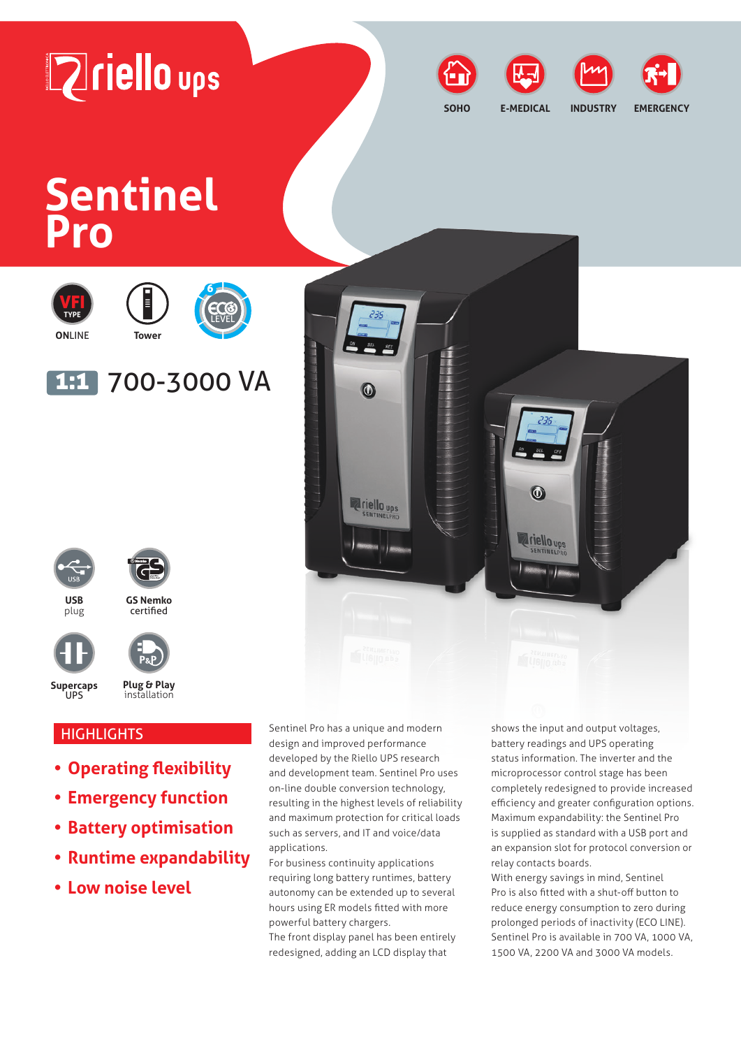



**SOHO**





**E-MEDICAL INDUSTRY EMERGENCY**

# **Sentinel Pro**









# 1:1 700-3000 VA

6



plug



**GS Nemko** certified



**Plug & Play**

**Supercaps** UPS

# **HIGHLIGHTS**

**• Operating flexibility**

installation

- **• Emergency function**
- **• Battery optimisation**
- **• Runtime expandability**
- **• Low noise level**

Sentinel Pro has a unique and modern design and improved performance developed by the Riello UPS research and development team. Sentinel Pro uses on-line double conversion technology, resulting in the highest levels of reliability and maximum protection for critical loads such as servers, and IT and voice/data applications.

For business continuity applications requiring long battery runtimes, battery autonomy can be extended up to several hours using ER models fitted with more powerful battery chargers.

The front display panel has been entirely redesigned, adding an LCD display that

shows the input and output voltages, battery readings and UPS operating status information. The inverter and the microprocessor control stage has been completely redesigned to provide increased efficiency and greater configuration options. Maximum expandability: the Sentinel Pro is supplied as standard with a USB port and an expansion slot for protocol conversion or relay contacts boards.

With energy savings in mind, Sentinel Pro is also fitted with a shut-off button to reduce energy consumption to zero during prolonged periods of inactivity (ECO LINE). Sentinel Pro is available in 700 VA, 1000 VA, 1500 VA, 2200 VA and 3000 VA models.

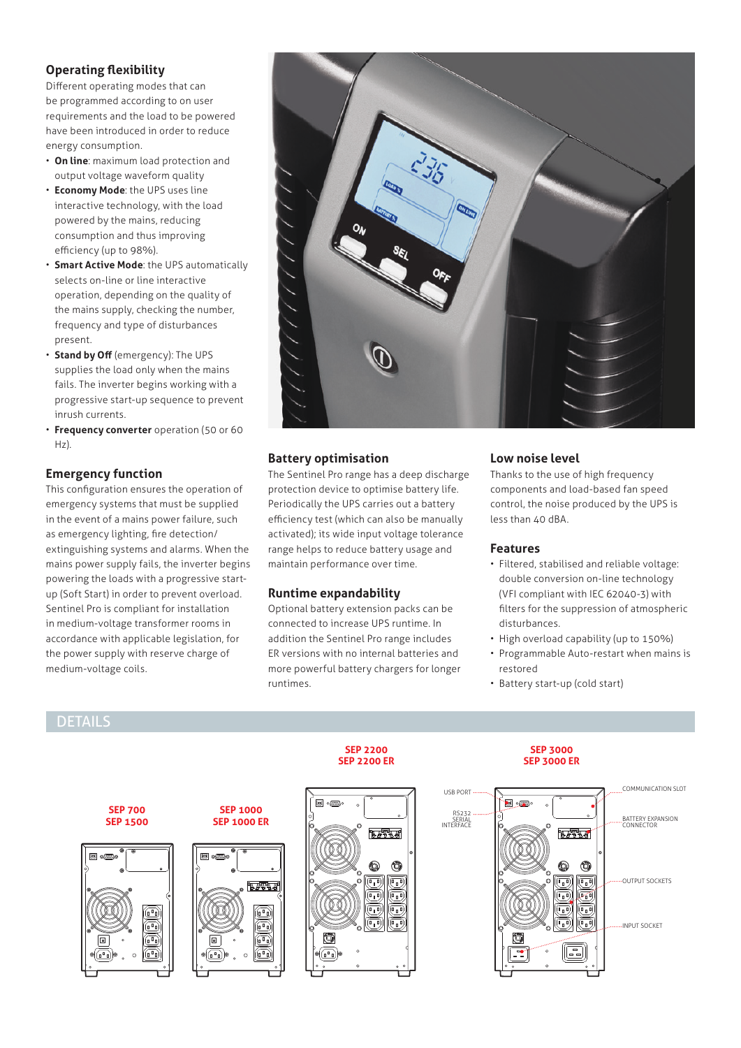#### **Operating flexibility**

Different operating modes that can be programmed according to on user requirements and the load to be powered have been introduced in order to reduce energy consumption.

- **On line**: maximum load protection and output voltage waveform quality
- **Economy Mode**: the UPS uses line interactive technology, with the load powered by the mains, reducing consumption and thus improving efficiency (up to 98%).
- **Smart Active Mode**: the UPS automatically selects on-line or line interactive operation, depending on the quality of the mains supply, checking the number, frequency and type of disturbances present.
- **Stand by Off** (emergency): The UPS supplies the load only when the mains fails. The inverter begins working with a progressive start-up sequence to prevent inrush currents.
- **Frequency converter** operation (50 or 60 Hz).

#### **Emergency function**

This configuration ensures the operation of emergency systems that must be supplied in the event of a mains power failure, such as emergency lighting, fire detection/ extinguishing systems and alarms. When the mains power supply fails, the inverter begins powering the loads with a progressive startup (Soft Start) in order to prevent overload. Sentinel Pro is compliant for installation in medium-voltage transformer rooms in accordance with applicable legislation, for the power supply with reserve charge of medium-voltage coils.



#### **Battery optimisation**

The Sentinel Pro range has a deep discharge protection device to optimise battery life. Periodically the UPS carries out a battery efficiency test (which can also be manually activated); its wide input voltage tolerance range helps to reduce battery usage and maintain performance over time.

#### **Runtime expandability**

Optional battery extension packs can be connected to increase UPS runtime. In addition the Sentinel Pro range includes ER versions with no internal batteries and more powerful battery chargers for longer runtimes.

#### **Low noise level**

Thanks to the use of high frequency components and load-based fan speed control, the noise produced by the UPS is less than 40 dBA.

#### **Features**

- Filtered, stabilised and reliable voltage: double conversion on-line technology (VFI compliant with IEC 62040-3) with filters for the suppression of atmospheric disturbances.
- High overload capability (up to 150%)
- Programmable Auto-restart when mains is restored
- Battery start-up (cold start)

# DETAILS

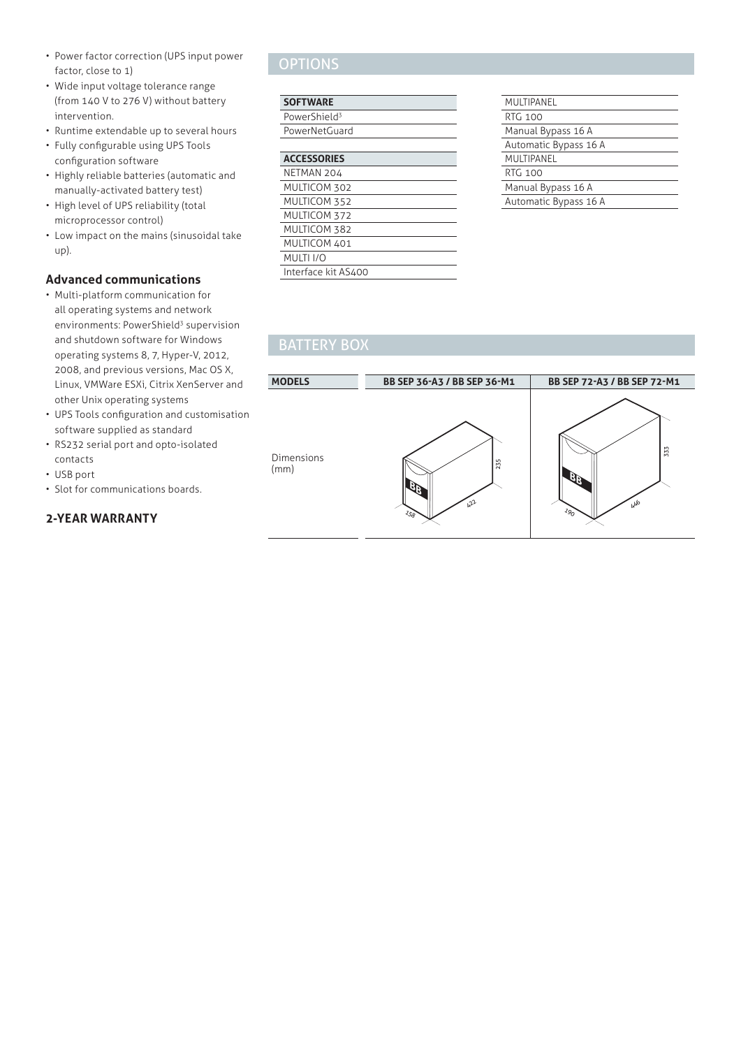- Power factor correction (UPS input power factor, close to 1)
- Wide input voltage tolerance range (from 140 V to 276 V) without battery intervention.
- Runtime extendable up to several hours
- Fully configurable using UPS Tools configuration software
- Highly reliable batteries (automatic and manually-activated battery test)
- High level of UPS reliability (total microprocessor control)
- Low impact on the mains (sinusoidal take up).

#### **Advanced communications**

- Multi-platform communication for all operating systems and network environments: PowerShield<sup>3</sup> supervision and shutdown software for Windows operating systems 8, 7, Hyper-V, 2012, 2008, and previous versions, Mac OS X, Linux, VMWare ESXi, Citrix XenServer and other Unix operating systems
- UPS Tools configuration and customisation software supplied as standard
- RS232 serial port and opto-isolated contacts
- USB port
- Slot for communications boards.

#### **2-YEAR WARRANTY**

## **OPTIONS**

#### **SOFTWARE**

| PowerShield <sup>3</sup> |  |
|--------------------------|--|
| PowerNetGuard            |  |

| <b>ACCESSORIES</b> |  |
|--------------------|--|
| NETMAN 204         |  |
| MULTICOM 302       |  |
| MULTICOM 352       |  |
| MULTICOM 372       |  |

| MULTIPANEL            |
|-----------------------|
| <b>RTG 100</b>        |
| Manual Bypass 16 A    |
| Automatic Bypass 16 A |
| MULTIPANEL            |
| RTG 100               |
| Manual Bypass 16 A    |
| Automatic Bypass 16 A |
|                       |

### BATTERY BOX

MULTICOM 382 MULTICOM 401<br>MULTI I/O MULTI<sub>I/O</sub>

Interface kit AS400